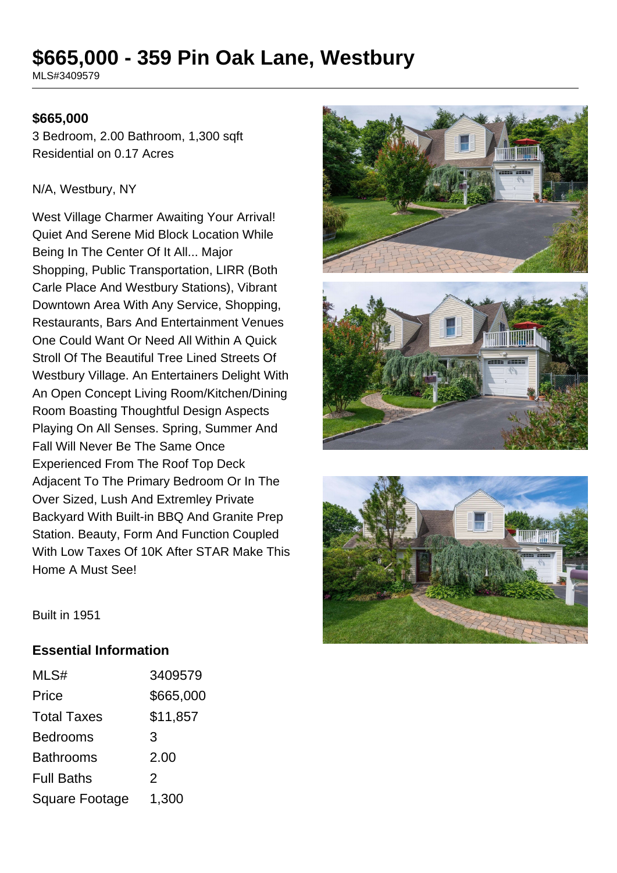# **\$665,000 - 359 Pin Oak Lane, Westbury**

MLS#3409579

#### **\$665,000**

3 Bedroom, 2.00 Bathroom, 1,300 sqft Residential on 0.17 Acres

#### N/A, Westbury, NY

West Village Charmer Awaiting Your Arrival! Quiet And Serene Mid Block Location While Being In The Center Of It All... Major Shopping, Public Transportation, LIRR (Both Carle Place And Westbury Stations), Vibrant Downtown Area With Any Service, Shopping, Restaurants, Bars And Entertainment Venues One Could Want Or Need All Within A Quick Stroll Of The Beautiful Tree Lined Streets Of Westbury Village. An Entertainers Delight With An Open Concept Living Room/Kitchen/Dining Room Boasting Thoughtful Design Aspects Playing On All Senses. Spring, Summer And Fall Will Never Be The Same Once Experienced From The Roof Top Deck Adjacent To The Primary Bedroom Or In The Over Sized, Lush And Extremley Private Backyard With Built-in BBQ And Granite Prep Station. Beauty, Form And Function Coupled With Low Taxes Of 10K After STAR Make This Home A Must See!





Built in 1951

#### **Essential Information**

| MLS#                  | 3409579   |
|-----------------------|-----------|
| Price                 | \$665,000 |
| <b>Total Taxes</b>    | \$11,857  |
| <b>Bedrooms</b>       | 3         |
| <b>Bathrooms</b>      | 2.00      |
| <b>Full Baths</b>     | 2         |
| <b>Square Footage</b> | 1,300     |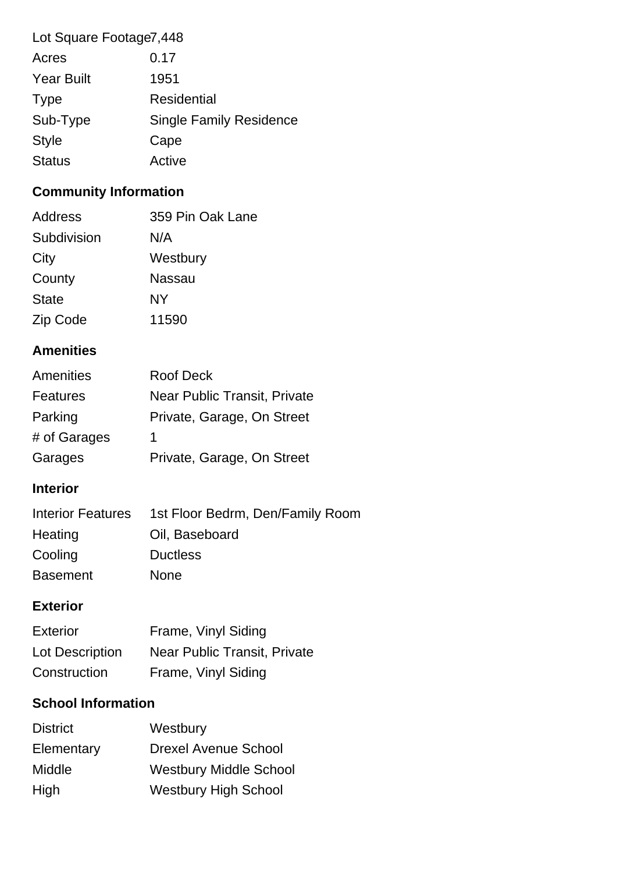| Lot Square Footage7,448 |                                |
|-------------------------|--------------------------------|
| Acres                   | 0.17                           |
| <b>Year Built</b>       | 1951                           |
| <b>Type</b>             | Residential                    |
| Sub-Type                | <b>Single Family Residence</b> |
| <b>Style</b>            | Cape                           |
| <b>Status</b>           | Active                         |

## **Community Information**

| Address      | 359 Pin Oak Lane |
|--------------|------------------|
| Subdivision  | N/A              |
| City         | Westbury         |
| County       | Nassau           |
| <b>State</b> | NY               |
| Zip Code     | 11590            |

## **Amenities**

| Amenities       | <b>Roof Deck</b>             |
|-----------------|------------------------------|
| <b>Features</b> | Near Public Transit, Private |
| Parking         | Private, Garage, On Street   |
| # of Garages    | 1                            |
| Garages         | Private, Garage, On Street   |

## **Interior**

| <b>Interior Features</b> | 1st Floor Bedrm, Den/Family Room |
|--------------------------|----------------------------------|
| Heating                  | Oil, Baseboard                   |
| Cooling                  | <b>Ductless</b>                  |
| <b>Basement</b>          | <b>None</b>                      |

## **Exterior**

| Exterior        | Frame, Vinyl Siding          |
|-----------------|------------------------------|
| Lot Description | Near Public Transit, Private |
| Construction    | Frame, Vinyl Siding          |

## **School Information**

| <b>District</b> | Westbury                      |
|-----------------|-------------------------------|
| Elementary      | <b>Drexel Avenue School</b>   |
| Middle          | <b>Westbury Middle School</b> |
| High            | <b>Westbury High School</b>   |